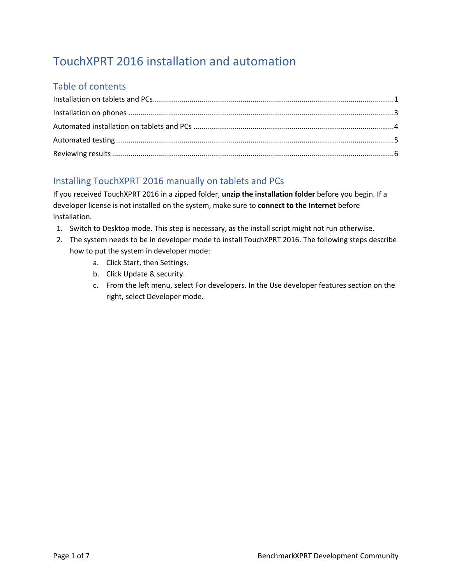# TouchXPRT 2016 installation and automation

## Table of contents

## <span id="page-0-0"></span>Installing TouchXPRT 2016 manually on tablets and PCs

If you received TouchXPRT 2016 in a zipped folder, **unzip the installation folder** before you begin. If a developer license is not installed on the system, make sure to **connect to the Internet** before installation.

- 1. Switch to Desktop mode. This step is necessary, as the install script might not run otherwise.
- 2. The system needs to be in developer mode to install TouchXPRT 2016. The following steps describe how to put the system in developer mode:
	- a. Click Start, then Settings.
	- b. Click Update & security.
	- c. From the left menu, select For developers. In the Use developer features section on the right, select Developer mode.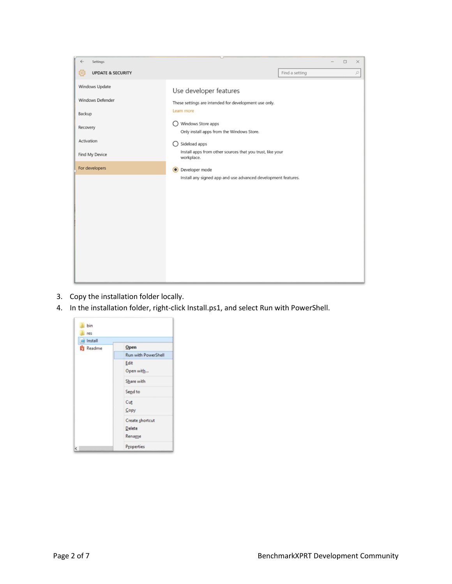

- 3. Copy the installation folder locally.
- 4. In the installation folder, right-click Install.ps1, and select Run with PowerShell.

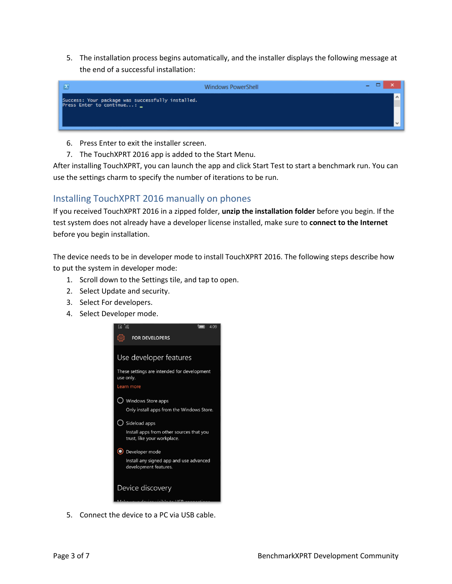5. The installation process begins automatically, and the installer displays the following message at the end of a successful installation:

| $\sqrt{2}$                                                                      | <b>Windows PowerShell</b> | e e de la contrada de la contrada de la contrada de la contrada de la contrada de la contrada de la contrada d<br>De la contrada de la contrada de la contrada de la contrada de la contrada de la contrada de la contrada de la |
|---------------------------------------------------------------------------------|---------------------------|----------------------------------------------------------------------------------------------------------------------------------------------------------------------------------------------------------------------------------|
| Success: Your package was successfully installed.<br>Press Enter to continue: _ |                           |                                                                                                                                                                                                                                  |
|                                                                                 |                           |                                                                                                                                                                                                                                  |

- 6. Press Enter to exit the installer screen.
- 7. The TouchXPRT 2016 app is added to the Start Menu.

After installing TouchXPRT, you can launch the app and click Start Test to start a benchmark run. You can use the settings charm to specify the number of iterations to be run.

### <span id="page-2-0"></span>Installing TouchXPRT 2016 manually on phones

If you received TouchXPRT 2016 in a zipped folder, **unzip the installation folder** before you begin. If the test system does not already have a developer license installed, make sure to **connect to the Internet**  before you begin installation.

The device needs to be in developer mode to install TouchXPRT 2016. The following steps describe how to put the system in developer mode:

- 1. Scroll down to the Settings tile, and tap to open.
- 2. Select Update and security.
- 3. Select For developers.
- 4. Select Developer mode.



5. Connect the device to a PC via USB cable.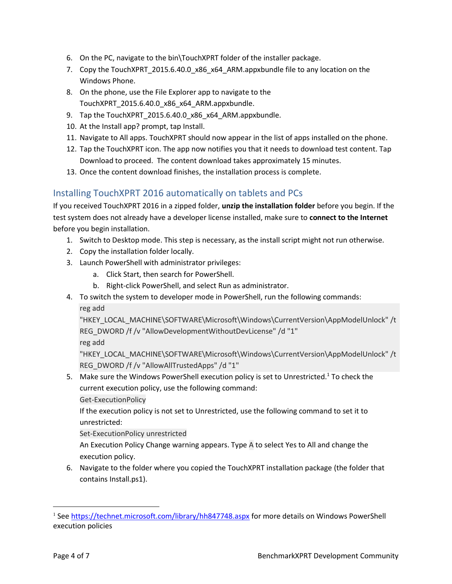- 6. On the PC, navigate to the bin\TouchXPRT folder of the installer package.
- 7. Copy the TouchXPRT 2015.6.40.0 x86 x64 ARM.appxbundle file to any location on the Windows Phone.
- 8. On the phone, use the File Explorer app to navigate to the TouchXPRT\_2015.6.40.0\_x86\_x64\_ARM.appxbundle.
- 9. Tap the TouchXPRT\_2015.6.40.0\_x86\_x64\_ARM.appxbundle.
- 10. At the Install app? prompt, tap Install.
- 11. Navigate to All apps. TouchXPRT should now appear in the list of apps installed on the phone.
- 12. Tap the TouchXPRT icon. The app now notifies you that it needs to download test content. Tap Download to proceed. The content download takes approximately 15 minutes.
- 13. Once the content download finishes, the installation process is complete.

#### <span id="page-3-0"></span>Installing TouchXPRT 2016 automatically on tablets and PCs

If you received TouchXPRT 2016 in a zipped folder, **unzip the installation folder** before you begin. If the test system does not already have a developer license installed, make sure to **connect to the Internet**  before you begin installation.

- 1. Switch to Desktop mode. This step is necessary, as the install script might not run otherwise.
- 2. Copy the installation folder locally.
- 3. Launch PowerShell with administrator privileges:
	- a. Click Start, then search for PowerShell.
	- b. Right-click PowerShell, and select Run as administrator.
- 4. To switch the system to developer mode in PowerShell, run the following commands: reg add

"HKEY\_LOCAL\_MACHINE\SOFTWARE\Microsoft\Windows\CurrentVersion\AppModelUnlock" /t REG\_DWORD /f /v "AllowDevelopmentWithoutDevLicense" /d "1"

reg add

"HKEY\_LOCAL\_MACHINE\SOFTWARE\Microsoft\Windows\CurrentVersion\AppModelUnlock" /t REG\_DWORD /f /v "AllowAllTrustedApps" /d "1"

5. Make sure the Windows PowerShell execution policy is set to Unrestricted.<sup>1</sup> To check the current execution policy, use the following command:

Get-ExecutionPolicy

If the execution policy is not set to Unrestricted, use the following command to set it to unrestricted:

Set-ExecutionPolicy unrestricted

An Execution Policy Change warning appears. Type A to select Yes to All and change the execution policy.

6. Navigate to the folder where you copied the TouchXPRT installation package (the folder that contains Install.ps1).

 $\overline{a}$ 

<sup>&</sup>lt;sup>1</sup> See<https://technet.microsoft.com/library/hh847748.aspx> for more details on Windows PowerShell execution policies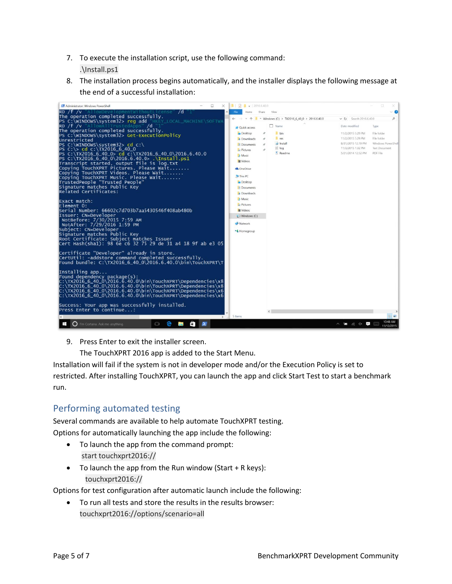- 7. To execute the installation script, use the following command: .\Install.ps1
- 8. The installation process begins automatically, and the installer displays the following message at the end of a successful installation:



9. Press Enter to exit the installer screen.

The TouchXPRT 2016 app is added to the Start Menu.

Installation will fail if the system is not in developer mode and/or the Execution Policy is set to restricted. After installing TouchXPRT, you can launch the app and click Start Test to start a benchmark run.

#### <span id="page-4-0"></span>Performing automated testing

Several commands are available to help automate TouchXPRT testing. Options for automatically launching the app include the following:

- To launch the app from the command prompt: start touchxprt2016://
- To launch the app from the Run window (Start + R keys): touchxprt2016://

Options for test configuration after automatic launch include the following:

 To run all tests and store the results in the results browser: touchxprt2016://options/scenario=all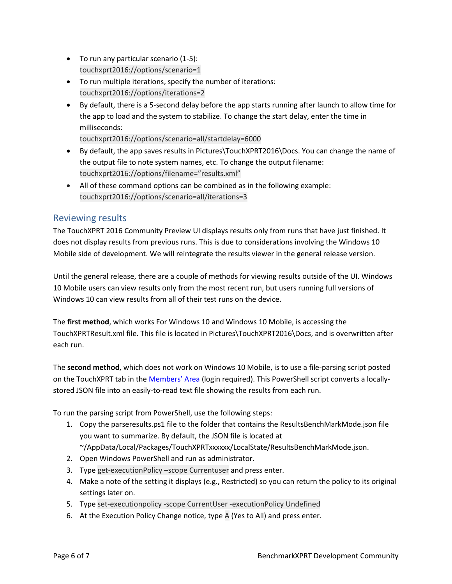- To run any particular scenario (1-5): touchxprt2016://options/scenario=1
- To run multiple iterations, specify the number of iterations: touchxprt2016://options/iterations=2
- By default, there is a 5-second delay before the app starts running after launch to allow time for the app to load and the system to stabilize. To change the start delay, enter the time in milliseconds:

touchxprt2016://options/scenario=all/startdelay=6000

- By default, the app saves results in Pictures\TouchXPRT2016\Docs. You can change the name of the output file to note system names, etc. To change the output filename: touchxprt2016://options/filename="results.xml"
- All of these command options can be combined as in the following example: touchxprt2016://options/scenario=all/iterations=3

### <span id="page-5-0"></span>Reviewing results

The TouchXPRT 2016 Community Preview UI displays results only from runs that have just finished. It does not display results from previous runs. This is due to considerations involving the Windows 10 Mobile side of development. We will reintegrate the results viewer in the general release version.

Until the general release, there are a couple of methods for viewing results outside of the UI. Windows 10 Mobile users can view results only from the most recent run, but users running full versions of Windows 10 can view results from all of their test runs on the device.

The **first method**, which works For Windows 10 and Windows 10 Mobile, is accessing the TouchXPRTResult.xml file. This file is located in Pictures\TouchXPRT2016\Docs, and is overwritten after each run.

The **second method**, which does not work on Windows 10 Mobile, is to use a file-parsing script posted on the TouchXPRT tab in the [Members' Area](http://principledtechnologies.com/benchmarkxprt/members/) (login required). This PowerShell script converts a locallystored JSON file into an easily-to-read text file showing the results from each run.

To run the parsing script from PowerShell, use the following steps:

1. Copy the parseresults.ps1 file to the folder that contains the ResultsBenchMarkMode.json file you want to summarize. By default, the JSON file is located at

~/AppData/Local/Packages/TouchXPRTxxxxxx/LocalState/ResultsBenchMarkMode.json.

- 2. Open Windows PowerShell and run as administrator.
- 3. Type get-executionPolicy –scope Currentuser and press enter.
- 4. Make a note of the setting it displays (e.g., Restricted) so you can return the policy to its original settings later on.
- 5. Type set-executionpolicy -scope CurrentUser -executionPolicy Undefined
- 6. At the Execution Policy Change notice, type A (Yes to All) and press enter.